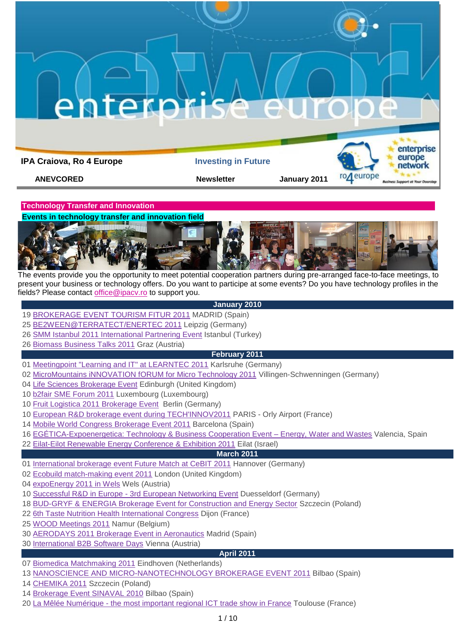**IPA Craiova, Ro 4 Europe Investing in Future** 

**ANEVCORED Newsletter 3011** 



**Technology Transfer and Innovation** 

**Events in technology transfer and innovation field**



The events provide you the opportunity to meet potential cooperation partners during pre-arranged face-to-face meetings, to present your business or technology offers. Do you want to participe at some events? Do you have technology profiles in the fields? Please contact [office@ipacv.ro](mailto:office@ipacv.ro) to support you.

# **January 2010**

- [BROKERAGE EVENT TOURISM FITUR 2011](http://www.enterprise-europe-network.ec.europa.eu/publicwebsite/calendar/viewdetails.cfm?EventID=2512&type=future) MADRID (Spain)
- [BE2WEEN@TERRATECT/ENERTEC 2011](http://www.enterprise-europe-network.ec.europa.eu/publicwebsite/calendar/viewdetails.cfm?EventID=2464&type=future) Leipzig (Germany)
- [SMM Istanbul 2011 International Partnering Event](http://www.enterprise-europe-network.ec.europa.eu/publicwebsite/calendar/viewdetails.cfm?EventID=2521&type=future) Istanbul (Turkey)
- [Biomass Business Talks 2011](http://www.enterprise-europe-network.ec.europa.eu/publicwebsite/calendar/viewdetails.cfm?EventID=2508&type=future) Graz (Austria)

## **February 2011**

- [Meetingpoint "Learning and IT" at LEARNTEC 2011](http://www.enterprise-europe-network.ec.europa.eu/publicwebsite/bemt/home.cfm?EventID=2550) Karlsruhe (Germany)
- [MicroMountains iNNOVATION fORUM for Micro Technology 2011](http://www.enterprise-europe-network.ec.europa.eu/publicwebsite/calendar/viewdetails.cfm?EventID=2519&type=future) Villingen-Schwenningen (Germany)
- [Life Sciences Brokerage Event](http://www.enterprise-europe-network.ec.europa.eu/publicwebsite/calendar/viewdetails.cfm?EventID=2517&type=future) Edinburgh (United Kingdom)
- [b2fair SME Forum 2011](http://www.enterprise-europe-network.ec.europa.eu/publicwebsite/calendar/viewdetails.cfm?EventID=2062&type=future) Luxembourg (Luxembourg)
- [Fruit Logistica 2011 Brokerage Event](http://www.enterprise-europe-network.ec.europa.eu/publicwebsite/calendar/viewdetails.cfm?EventID=2561&type=future) Berlin (Germany)
- [European R&D brokerage event during TECH'INNOV2011](http://www.enterprise-europe-network.ec.europa.eu/publicwebsite/calendar/viewdetails.cfm?EventID=2564&type=future) PARIS Orly Airport (France)
- [Mobile World Congress Brokerage Event 2011](http://www.enterprise-europe-network.ec.europa.eu/publicwebsite/calendar/viewdetails.cfm?EventID=2153&type=future) Barcelona (Spain)
- [EGÉTICA-Expoenergetica: Technology & Business Cooperation Event –](http://www.enterprise-europe-network.ec.europa.eu/publicwebsite/bemt/home.cfm?EventID=2460) Energy, Water and Wastes Valencia, Spain
- [Eilat-Eilot Renewable Energy Conference & Exhibition 2011](http://www.enterprise-europe-network.ec.europa.eu/publicwebsite/calendar/viewdetails.cfm?EventID=2556&type=future) Eilat (Israel)

# **March 2011**

- [International brokerage event Future Match at CeBIT 2011](http://www.enterprise-europe-network.ec.europa.eu/publicwebsite/calendar/viewdetails.cfm?EventID=2566&type=future) Hannover (Germany)
- [Ecobuild match-making event 2011](http://www.enterprise-europe-network.ec.europa.eu/publicwebsite/calendar/viewdetails.cfm?EventID=2479&type=future) London (United Kingdom)
- [expoEnergy 2011 in Wels](http://www.enterprise-europe-network.ec.europa.eu/publicwebsite/calendar/viewdetails.cfm?EventID=2569&type=future) Wels (Austria)
- Successful R&D in Europe [3rd European Networking Event](http://www.enterprise-europe-network.ec.europa.eu/publicwebsite/calendar/viewdetails.cfm?EventID=2573&type=future) Duesseldorf (Germany)
- [BUD-GRYF & ENERGIA Brokerage Event for Construction and Energy Sector](http://www.enterprise-europe-network.ec.europa.eu/publicwebsite/calendar/viewdetails.cfm?EventID=2381&type=future) Szczecin (Poland)
- [6th Taste Nutrition Health International Congress](http://www.enterprise-europe-network.ec.europa.eu/publicwebsite/calendar/viewdetails.cfm?EventID=2551&type=future) Dijon (France)
- [WOOD Meetings 2011](http://www.enterprise-europe-network.ec.europa.eu/publicwebsite/bemt/home.cfm?EventID=2471) Namur (Belgium)
- [AERODAYS 2011 Brokerage Event in Aeronautics](http://www.enterprise-europe-network.ec.europa.eu/publicwebsite/bemt/home.cfm?EventID=2541) Madrid (Spain)
- [International B2B Software Days](http://www.enterprise-europe-network.ec.europa.eu/publicwebsite/calendar/viewdetails.cfm?EventID=2565&type=future) Vienna (Austria)

# **April 2011**

- [Biomedica Matchmaking 2011](http://www.enterprise-europe-network.ec.europa.eu/publicwebsite/bemt/home.cfm?EventID=2560) Eindhoven (Netherlands)
- [NANOSCIENCE AND MICRO-NANOTECHNOLOGY BROKERAGE EVENT 2011](http://www.enterprise-europe-network.ec.europa.eu/publicwebsite/bemt/home.cfm?EventID=2547) Bilbao (Spain)
- [CHEMIKA 2011](http://www.enterprise-europe-network.ec.europa.eu/publicwebsite/bemt/home.cfm?EventID=2477) Szczecin (Poland)
- [Brokerage Event SINAVAL 2010](http://www.enterprise-europe-network.ec.europa.eu/publicwebsite/bemt/home.cfm?EventID=2570) Bilbao (Spain)
- 20 La Mêlée Numérique [the most important regional ICT trade show in France](http://www.enterprise-europe-network.ec.europa.eu/publicwebsite/calendar/viewdetails.cfm?EventID=2553&type=future) Toulouse (France)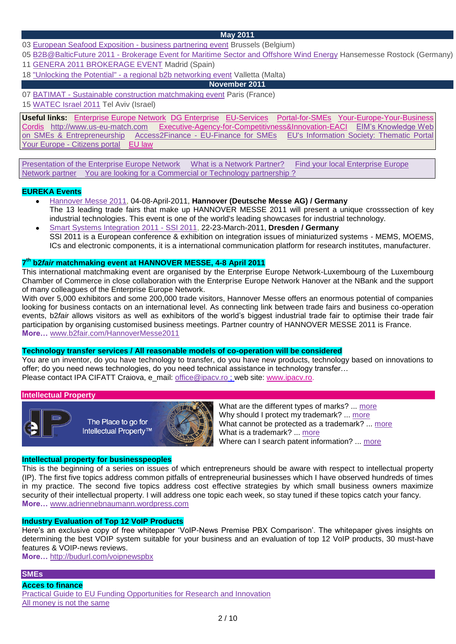## **May 2011**

03 [European Seafood Exposition -](http://www.enterprise-europe-network.ec.europa.eu/publicwebsite/bemt/home.cfm?EventID=2572) business partnering event Brussels (Belgium)

05 B2B@BalticFuture 2011 - [Brokerage Event for Maritime Sector and Offshore Wind Energy](http://www.enterprise-europe-network.ec.europa.eu/publicwebsite/calendar/viewdetails.cfm?EventID=2531&type=future) Hansemesse Rostock (Germany) 11 [GENERA 2011 BROKERAGE EVENT](http://www.enterprise-europe-network.ec.europa.eu/publicwebsite/calendar/viewdetails.cfm?EventID=2555&type=future) Madrid (Spain)

18 "Unlocking the Potential" - [a regional b2b networking event](http://www.enterprise-europe-network.ec.europa.eu/publicwebsite/bemt/home.cfm?EventID=2539) Valletta (Malta)

## **November 2011**

07 BATIMAT - [Sustainable construction matchmaking event](http://www.enterprise-europe-network.ec.europa.eu/publicwebsite/calendar/viewdetails.cfm?EventID=2296&type=future) Paris (France)

15 [WATEC Israel 2011](http://www.enterprise-europe-network.ec.europa.eu/publicwebsite/calendar/viewdetails.cfm?EventID=2562&type=future) Tel Aviv (Israel)

**Useful links:** [Enterprise Europe Network](http://www.enterprise-europe-network.ec.europa.eu/index_en.htm) [DG Enterprise](http://ec.europa.eu/enterprise/index_en.htm) [EU-Services](http://ec.europa.eu/youreurope/business/index_ro.htm) [Portal-for-SMEs](http://ec.europa.eu/enterprise/sme/index_en.htm)[Your-Europe-Your-Business](http://ec.europa.eu/youreurope/business/index_ro.htm) [Cordis](http://cordis.europa.eu/home_en.html) [http://www.us-eu-match.com](http://www.us-eu-match.com/) [Executive-Agency-for-Competitivness&Innovation-EACI](http://ec.europa.eu/eaci) [EIM"s Knowledge Web](http://www.entrepreneurship-sme.eu/index.cfm/1,1,0,0,html)  [on SMEs & Entrepreneurship](http://www.entrepreneurship-sme.eu/index.cfm/1,1,0,0,html) Access2Finance - [EU-Finance for SMEs](http://www.access2finance.eu/) [EU's Information Society: Thematic Portal](http://ec.europa.eu/information_society/newsroom/cf/menu.cfm)  Your Europe - [Citizens portal](http://www.oureuropebusiness.eu/2009/11/19/your-europe-citizens-a-total-revamp-of-ye-bs-sister-portal/) [EU law](http://eur-lex.europa.eu/en/index.htm)

[Presentation of the Enterprise Europe Network](http://www.enterprise-europe-network.ec.europa.eu/about/about) [What is a Network Partner?](http://www.enterprise-europe-network.ec.europa.eu/about/partners) [Find your local Enterprise Europe](http://www.enterprise-europe-network.ec.europa.eu/about/branches)  [Network partner](http://www.enterprise-europe-network.ec.europa.eu/about/branches) [You are looking for a Commercial or Technology partnership ?](http://www.enterprise-europe-network.ec.europa.eu/services/going-international) 

## **EUREKA Events**

- [Hannover Messe 2011,](http://www.eurekanetwork.org/showevent?p_r_p_564233524_articleId=473864&p_r_p_564233524_groupId=10137) 04-08-April-2011, **Hannover (Deutsche Messe AG) / Germany** The 13 leading trade fairs that make up HANNOVER MESSE 2011 will present a unique crosssection of key industrial technologies. This event is one of the world's leading showcases for industrial technology.
- [Smart Systems Integration 2011 -](http://www.eurekanetwork.org/showevent?p_r_p_564233524_articleId=310284&p_r_p_564233524_groupId=10137) SSI 2011, 22-23-March-2011, **Dresden / Germany** SSI 2011 is a European conference & exhibition on integration issues of miniaturized systems - MEMS, MOEMS, ICs and electronic components, it is a international communication platform for research institutes, manufacturer.

## **7 th b2***fair* **matchmaking event at HANNOVER MESSE, 4-8 April 2011**

This international matchmaking event are organised by the Enterprise Europe Network-Luxembourg of the Luxembourg Chamber of Commerce in close collaboration with the Enterprise Europe Network Hanover at the NBank and the support of many colleagues of the Enterprise Europe Network.

With over 5,000 exhibitors and some 200,000 trade visitors, Hannover Messe offers an enormous potential of companies looking for business contacts on an international level. As connecting link between trade fairs and business co-operation events, b2*fair* allows visitors as well as exhibitors of the world"s biggest industrial trade fair to optimise their trade fair participation by organising customised business meetings. Partner country of HANNOVER MESSE 2011 is France. **More…** [www.b2fair.com/HannoverMesse2011](http://www.b2fair.com/HannoverMesse2011)

## **Technology transfer services / All reasonable models of co-operation will be considered**

You are un inventor, do you have technology to transfer, do you have new products, technology based on innovations to offer; do you need news technologies, do you need technical assistance in technology transfer… Please contact IPA CIFATT Craiova, e\_mail: [office@ipacv.ro](mailto:office@ipacv.ro) ; web site: [www.ipacv.ro.](http://www.ipacv.ro/)

#### **Intellectual Property**



The Place to go for Intellectual Property<sup>™</sup>



What are the different types of marks? ... [more](http://www.intracen.org/btp/wtn/newsletters/2007/3_2/int_prop_21.htm) Why should I protect my trademark? ... [more](http://www.intracen.org/btp/wtn/newsletters/2007/3_2/int_prop_20.htm) What cannot be protected as a trademark? ... [more](http://www.intracen.org/btp/wtn/newsletters/2007/3_2/int_prop_19.htm) What is a trademark? ... [more](http://www.intracen.org/btp/wtn/newsletters/2007/3_2/int_prop_18.htm) Where can I search patent information? ... [more](http://www.intracen.org/btp/wtn/newsletters/2007/3_2/int_prop_17.htm)

#### **Intellectual property for businesspeoples**

This is the beginning of a series on issues of which entrepreneurs should be aware with respect to intellectual property (IP). The first five topics address common pitfalls of entrepreneurial businesses which I have observed hundreds of times in my practice. The second five topics address cost effective strategies by which small business owners maximize security of their intellectual property. I will address one topic each week, so stay tuned if these topics catch your fancy. **More…** [www.adriennebnaumann.wordpress.com](http://www.adriennebnaumann.wordpress.com/)

#### **Industry Evaluation of Top 12 VoIP Products**

Here's an exclusive copy of free whitepaper 'VoIP-News Premise PBX Comparison'. The whitepaper gives insights on determining the best VOIP system suitable for your business and an evaluation of top 12 VoIP products, 30 must-have features & VOIP-news reviews.

**More…** [http://budurl.com/voipnewspbx](http://www.linkedin.com/redirect?url=http%3A%2F%2Fbudurl%2Ecom%2Fvoipnewspbx&urlhash=LKCk&_t=tracking_anet)

## **SMEs**

#### **Acces to finance**

[Practical Guide to EU Funding Opportunities for Research and Innovation](http://www.eurada.org/site/files/Access%20to%20finance/Practical%20Guide%20EU%20Funding_FP7_CIP_ERDF.pdf) [All money is not the same](http://www.eurada.org/site/files/Access%20to%20finance/All%20money%20is%20not%20the%20same_E.pdf)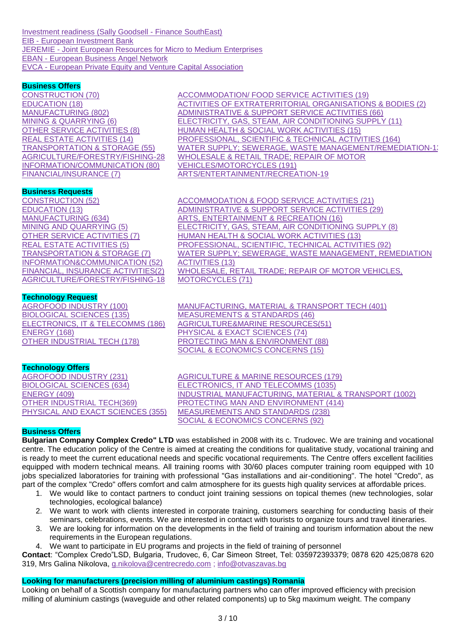[Investment readiness \(Sally Goodsell -](http://www.eurada.org/site/files/Access%20to%20finance/Sally%20Goodsell_Investment%20readiness.pdf) Finance SouthEast) EIB - [European Investment Bank](http://www.eib.org/) JEREMIE - [Joint European Resources for Micro to Medium Enterprises](http://www.eif.org/jeremie/) EBAN - [European Business Angel Network](http://www.eban.org/) EVCA - [European Private Equity and Venture Capital Association](http://www.evca.eu/)

## **Business Offers**

[CONSTRUCTION \(70\)](http://www.us-eu-match.com/index.cfm?action=cat&publication_type_id=24&keyword_id2=2953) [EDUCATION \(18\)](http://www.us-eu-match.com/index.cfm?action=cat&publication_type_id=24&keyword_id2=3368) [MANUFACTURING \(802\)](http://www.us-eu-match.com/index.cfm?action=cat&publication_type_id=24&keyword_id2=2570) [MINING & QUARRYING \(6\)](http://www.us-eu-match.com/index.cfm?action=cat&publication_type_id=24&keyword_id2=2539) [OTHER SERVICE ACTIVITIES \(8\)](http://www.us-eu-match.com/index.cfm?action=cat&publication_type_id=24&keyword_id2=3437) [REAL ESTATE ACTIVITIES \(14\)](http://www.us-eu-match.com/index.cfm?action=cat&publication_type_id=24&keyword_id2=3244) [TRANSPORTATION & STORAGE \(55\)](http://www.us-eu-match.com/index.cfm?action=cat&publication_type_id=24&keyword_id2=3104) [AGRICULTURE/FORESTRY/FISHING-28](http://www.us-eu-match.com/index.cfm?action=cat&publication_type_id=24&keyword_id2=2483) [INFORMATION/COMMUNICATION \(80\)](http://www.us-eu-match.com/index.cfm?action=cat&publication_type_id=24&keyword_id2=3166) [FINANCIAL/INSURANCE \(7\)](http://www.us-eu-match.com/index.cfm?action=cat&publication_type_id=24&keyword_id2=3212)

[ACCOMMODATION/ FOOD SERVICE ACTIVITIES \(19\)](http://www.us-eu-match.com/index.cfm?action=cat&publication_type_id=24&keyword_id2=3148) [ACTIVITIES OF EXTRATERRITORIAL ORGANISATIONS & BODIES \(2\)](http://www.us-eu-match.com/index.cfm?action=cat&publication_type_id=24&keyword_id2=3475) [ADMINISTRATIVE & SUPPORT SERVICE ACTIVITIES \(66\)](http://www.us-eu-match.com/index.cfm?action=cat&publication_type_id=24&keyword_id2=3295) [ELECTRICITY, GAS, STEAM, AIR CONDITIONING SUPPLY \(11\)](http://www.us-eu-match.com/index.cfm?action=cat&publication_type_id=24&keyword_id2=2920) [HUMAN HEALTH & SOCIAL WORK ACTIVITIES \(15\)](http://www.us-eu-match.com/index.cfm?action=cat&publication_type_id=24&keyword_id2=3387) [PROFESSIONAL, SCIENTIFIC & TECHNICAL ACTIVITIES \(164\)](http://www.us-eu-match.com/index.cfm?action=cat&publication_type_id=24&keyword_id2=3253) WATER SUPPLY: SEWERAGE, WASTE MANAGEMENT/REMEDIATION-13 [WHOLESALE & RETAIL TRADE; REPAIR OF MOTOR](http://www.us-eu-match.com/index.cfm?action=cat&publication_type_id=24&keyword_id2=2988)  [VEHICLES/MOTORCYCLES \(191\)](http://www.us-eu-match.com/index.cfm?action=cat&publication_type_id=24&keyword_id2=2988) [ARTS/ENTERTAINMENT/RECREATION-19](http://www.us-eu-match.com/index.cfm?action=cat&publication_type_id=24&keyword_id2=3412)

## **Business Requests**

[CONSTRUCTION \(52\)](http://www.us-eu-match.com/index.cfm?action=cat&publication_type_id=25&keyword_id2=2953) [EDUCATION \(13\)](http://www.us-eu-match.com/index.cfm?action=cat&publication_type_id=25&keyword_id2=3368) [MANUFACTURING \(634\)](http://www.us-eu-match.com/index.cfm?action=cat&publication_type_id=25&keyword_id2=2570) [MINING AND QUARRYING \(5\)](http://www.us-eu-match.com/index.cfm?action=cat&publication_type_id=25&keyword_id2=2539) [OTHER SERVICE ACTIVITIES \(7\)](http://www.us-eu-match.com/index.cfm?action=cat&publication_type_id=25&keyword_id2=3437) [REAL ESTATE ACTIVITIES \(5\)](http://www.us-eu-match.com/index.cfm?action=cat&publication_type_id=25&keyword_id2=3244) [TRANSPORTATION & STORAGE \(7\)](http://www.us-eu-match.com/index.cfm?action=cat&publication_type_id=25&keyword_id2=3104) [INFORMATION&COMMUNICATION \(52\)](http://www.us-eu-match.com/index.cfm?action=cat&publication_type_id=25&keyword_id2=3166) [FINANCIAL, INSURANCE ACTIVITIES\(2\)](http://www.us-eu-match.com/index.cfm?action=cat&publication_type_id=25&keyword_id2=3212) [AGRICULTURE/FORESTRY/FISHING-18](http://www.us-eu-match.com/index.cfm?action=cat&publication_type_id=25&keyword_id2=2483)

## **Technology Request**

[AGROFOOD INDUSTRY \(100\)](http://www.us-eu-match.com/index.cfm?action=cat&publication_type_id=23&keyword_id2=345) [BIOLOGICAL SCIENCES \(135\)](http://www.us-eu-match.com/index.cfm?action=cat&publication_type_id=23&keyword_id2=282) [ELECTRONICS, IT &](http://www.us-eu-match.com/index.cfm?action=cat&publication_type_id=23&keyword_id2=1) TELECOMMS (186) [ENERGY \(168\)](http://www.us-eu-match.com/index.cfm?action=cat&publication_type_id=23&keyword_id2=198) [OTHER INDUSTRIAL TECH \(178\)](http://www.us-eu-match.com/index.cfm?action=cat&publication_type_id=23&keyword_id2=161)

## **Technology Offers**

[AGROFOOD INDUSTRY \(231\)](http://www.us-eu-match.com/index.cfm?action=cat&publication_type_id=22&keyword_id2=345) [BIOLOGICAL SCIENCES \(634\)](http://www.us-eu-match.com/index.cfm?action=cat&publication_type_id=22&keyword_id2=282) [ENERGY \(409\)](http://www.us-eu-match.com/index.cfm?action=cat&publication_type_id=22&keyword_id2=198) [OTHER INDUSTRIAL TECH\(369\)](http://www.us-eu-match.com/index.cfm?action=cat&publication_type_id=22&keyword_id2=161) [PHYSICAL AND EXACT SCIENCES \(355\)](http://www.us-eu-match.com/index.cfm?action=cat&publication_type_id=22&keyword_id2=240) [ACCOMMODATION & FOOD SERVICE ACTIVITIES \(21\)](http://www.us-eu-match.com/index.cfm?action=cat&publication_type_id=25&keyword_id2=3148) [ADMINISTRATIVE & SUPPORT SERVICE ACTIVITIES \(29\)](http://www.us-eu-match.com/index.cfm?action=cat&publication_type_id=25&keyword_id2=3295) [ARTS, ENTERTAINMENT & RECREATION \(16\)](http://www.us-eu-match.com/index.cfm?action=cat&publication_type_id=25&keyword_id2=3412) [ELECTRICITY, GAS, STEAM, AIR CONDITIONING SUPPLY \(8\)](http://www.us-eu-match.com/index.cfm?action=cat&publication_type_id=25&keyword_id2=2920) [HUMAN HEALTH & SOCIAL WORK ACTIVITIES \(13\)](http://www.us-eu-match.com/index.cfm?action=cat&publication_type_id=25&keyword_id2=3387) [PROFESSIONAL, SCIENTIFIC,](http://www.us-eu-match.com/index.cfm?action=cat&publication_type_id=25&keyword_id2=3253) TECHNICAL ACTIVITIES (92) [WATER SUPPLY; SEWERAGE, WASTE MANAGEMENT, REMEDIATION](http://www.us-eu-match.com/index.cfm?action=cat&publication_type_id=25&keyword_id2=2933)  [ACTIVITIES \(13\)](http://www.us-eu-match.com/index.cfm?action=cat&publication_type_id=25&keyword_id2=2933) [WHOLESALE, RETAIL TRADE; REPAIR OF MOTOR VEHICLES,](http://www.us-eu-match.com/index.cfm?action=cat&publication_type_id=25&keyword_id2=2988)  [MOTORCYCLES \(71\)](http://www.us-eu-match.com/index.cfm?action=cat&publication_type_id=25&keyword_id2=2988)

[MANUFACTURING, MATERIAL & TRANSPORT TECH \(401\)](http://www.us-eu-match.com/index.cfm?action=cat&publication_type_id=23&keyword_id2=81) [MEASUREMENTS & STANDARDS \(46\)](http://www.us-eu-match.com/index.cfm?action=cat&publication_type_id=23&keyword_id2=358) [AGRICULTURE&MARINE RESOURCES\(51\)](http://www.us-eu-match.com/index.cfm?action=cat&publication_type_id=23&keyword_id2=324) [PHYSICAL & EXACT SCIENCES \(74\)](http://www.us-eu-match.com/index.cfm?action=cat&publication_type_id=23&keyword_id2=240) [PROTECTING MAN & ENVIRONMENT \(88\)](http://www.us-eu-match.com/index.cfm?action=cat&publication_type_id=23&keyword_id2=377) [SOCIAL & ECONOMICS CONCERNS \(15\)](http://www.us-eu-match.com/index.cfm?action=cat&publication_type_id=23&keyword_id2=400)

[AGRICULTURE & MARINE RESOURCES \(179\)](http://www.us-eu-match.com/index.cfm?action=cat&publication_type_id=22&keyword_id2=324) [ELECTRONICS, IT AND TELECOMMS \(1035\)](http://www.us-eu-match.com/index.cfm?action=cat&publication_type_id=22&keyword_id2=1) [INDUSTRIAL MANUFACTURING, MATERIAL & TRANSPORT \(1002\)](http://www.us-eu-match.com/index.cfm?action=cat&publication_type_id=22&keyword_id2=81) [PROTECTING MAN AND ENVIRONMENT \(414\)](http://www.us-eu-match.com/index.cfm?action=cat&publication_type_id=22&keyword_id2=377) [MEASUREMENTS AND STANDARDS \(238\)](http://www.us-eu-match.com/index.cfm?action=cat&publication_type_id=22&keyword_id2=358) [SOCIAL & ECONOMICS CONCERNS \(92\)](http://www.us-eu-match.com/index.cfm?action=cat&publication_type_id=22&keyword_id2=400)

## **Business Offers**

**Bulgarian Company Complex Credo" LTD** was established in 2008 with its c. Trudovec. We are training and vocational centre. The education policy of the Centre is aimed at creating the conditions for qualitative study, vocational training and is ready to meet the current educational needs and specific vocational requirements. The Centre offers excellent facilities equipped with modern technical means. All training rooms with 30/60 places computer training room equipped with 10 jobs specialized laboratories for training with professional "Gas installations and air-conditioning". The hotel "Credo", as part of the complex "Credo" offers comfort and calm atmosphere for its guests high quality services at affordable prices.

- 1. We would like to contact partners to conduct joint training sessions on topical themes (new technologies, solar technologies, ecological balance)
- 2. We want to work with clients interested in corporate training, customers searching for conducting basis of their seminars, celebrations, events. We are interested in contact with tourists to organize tours and travel itineraries.
- 3. We are looking for information on the developments in the field of training and tourism information about the new requirements in the European regulations.
- 4. We want to participate in EU programs and projects in the field of training of personnel

**Contact**: "Complex Credo"LSD, Bulgaria, Trudovec, 6, Car Simeon Street, Tel: 035972393379; 0878 620 425;0878 620 319, Mrs Galina Nikolova, [g.nikolova@centrecredo.com](mailto:g.nikolova@centrecredo.com) ; [info@otvaszavas.bg](mailto:info@otvaszavas.bg)

# **Looking for manufacturers (precision milling of aluminium castings) Romania**

Looking on behalf of a Scottish company for manufacturing partners who can offer improved efficiency with precision milling of aluminium castings (waveguide and other related components) up to 5kg maximum weight. The company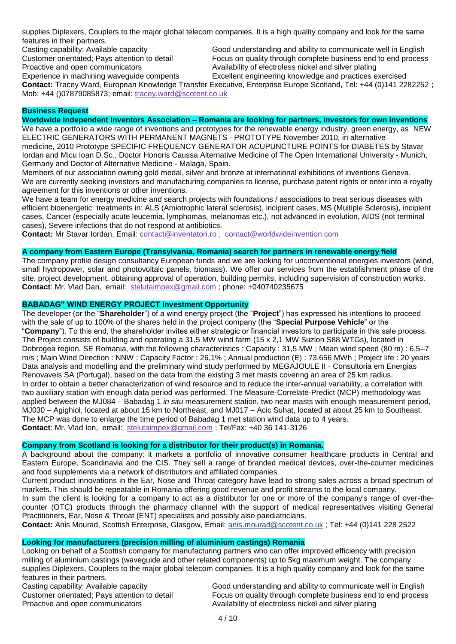supplies Diplexers, Couplers to the major global telecom companies. It is a high quality company and look for the same features in their partners.

Casting capability; Available capacity Customer orientated; Pays attention to detail Proactive and open communicators

Good understanding and ability to communicate well in English Focus on quality through complete business end to end process Availability of electroless nickel and silver plating Excellent engineering knowledge and practices exercised

Experience in machining waveguide compents **Contact:** Tracey Ward, European Knowledge Transfer Executive, Enterprise Europe Scotland, Tel: +44 (0)141 2282252 ; Mob: +44 ()07879085873; email: [tracey.ward@scotent.co.uk](mailto:tracey.ward@scotent.co.uk)

## **Business Request**

**Worldwide Independent Inventors Association – Romania are looking for partners, investors for own inventions** We have a portfolio a wide range of inventions and prototypes for the renewable energy industry, green energy, as NEW ELECTRIC GENERATORS WITH PERMANENT MAGNETS - PROTOTYPE November 2010, in alternative medicine, 2010 Prototype SPECIFIC FREQUENCY GENERATOR ACUPUNCTURE POINTS for DIABETES by Stavar Iordan and Micu Ioan D.Sc., Doctor Honoris Caussa Alternative Medicine of The Open International University - Munich, Germany and Doctor of Alternative Medicine - Malaga, Spain.

Members of our association owning gold medal, silver and bronze at international exhibitions of inventions Geneva. We are currently seeking investors and manufacturing companies to license, purchase patent rights or enter into a royalty agreement for this inventions or other inventions.

We have a team for energy medicine and search projects with foundations / associations to treat serious diseases with efficient bioenergetic treatments in: ALS (Amiotrophic lateral sclerosis), incipient cases, MS (Multiple Sclerosis), incipient cases, Cancer (especially acute leucemia, lymphomas, melanomas etc.), not advanced in evolution, AIDS (not terminal cases), Severe infections that do not respond at antibiotics.

**Contact:** Mr Stavar Iordan, Email: [contact@inventatori.ro](mailto:contact@inventatori.ro) , [contact@worldwideinvention.com](mailto:contact@worldwideinvention.com)

## **A company from Eastern Europe (Transylvania, Romania) search for partners in renewable energy field**

The company profile design consultancy European funds and we are looking for unconventional energies investors (wind, small hydropower, solar and photovoltaic panels, biomass). We offer our services from the establishment phase of the site, project development, obtaining approval of operation, building permits, including supervision of construction works. **Contact**: Mr. Vlad Dan, email: [stelutaimpex@gmail.com](mailto:stelutaimpex@gmail.com) ; phone: +040740235675

## **BABADAG" WIND ENERGY PROJECT Investment Opportunity**

The developer (or the "**Shareholder**") of a wind energy project (the "**Project**") has expressed his intentions to proceed with the sale of up to 100% of the shares held in the project company (the "**Special Purpose Vehicle**" or the "**Company**"). To this end, the shareholder invites either strategic or financial investors to participate in this sale process. The Project consists of building and operating a 31,5 MW wind farm (15 x 2,1 MW Suzlon S88 WTGs), located in Dobrogea region, SE Romania, with the following characteristics : Capacity : 31,5 MW ; Mean wind speed (80 m) : 6,5–7 m/s ; Main Wind Direction : NNW ; Capacity Factor : 26,1% ; Annual production (E) : 73.656 MWh ; Project life : 20 years Data analysis and modelling and the preliminary wind study performed by MEGAJOULE II - Consultoria em Energias Renovaveis SA (Portugal), based on the data from the existing 3 met masts covering an area of 25 km radius. In order to obtain a better characterization of wind resource and to reduce the inter-annual variability, a correlation with two auxiliary station with enough data period was performed. The Measure-Correlate-Predict (MCP) methodology was applied between the MJ084 – Babadag 1 *in situ* measurement station, two near masts with enough measurement period, MJ030 – Agighiol, located at about 15 km to Northeast, and MJ017 – Acic Suhat, located at about 25 km to Southeast. The MCP was done to enlarge the time period of Babadag 1 met station wind data up to 4 years. **Contact**: Mr. Vlad Ion, email: [stelutaimpex@gmail.com](mailto:stelutaimpex@gmail.com) ; Tel/Fax: +40 36 141-3126

## **Company from Scotland is looking for a distributor for their product(s) in Romania.**

A background about the company: it markets a portfolio of innovative consumer healthcare products in Central and Eastern Europe, Scandinavia and the CIS. They sell a range of branded medical devices, over-the-counter medicines and food supplements via a network of distributors and affiliated companies.

Current product innovations in the Ear, Nose and Throat category have lead to strong sales across a broad spectrum of markets. This should be repeatable in Romania offering good revenue and profit streams to the local company.

In sum the client is looking for a company to act as a distributor for one or more of the company's range of over-thecounter (OTC) products through the pharmacy channel with the support of medical representatives visiting General Practitioners, Ear, Nose & Throat (ENT) specialists and possibly also paediatricians.

**Contact:** Anis Mourad, Scottish Enterprise, Glasgow, Email: [anis.mourad@scotent.co.uk](mailto:anis.mourad@scotent.co.uk) ; Tel: +44 (0)141 228 2522

## **Looking for manufacturers (precision milling of aluminium castings) Romania**

Looking on behalf of a Scottish company for manufacturing partners who can offer improved efficiency with precision milling of aluminium castings (waveguide and other related components) up to 5kg maximum weight. The company supplies Diplexers, Couplers to the major global telecom companies. It is a high quality company and look for the same features in their partners.

Casting capability; Available capacity Customer orientated; Pays attention to detail Proactive and open communicators

Good understanding and ability to communicate well in English Focus on quality through complete business end to end process Availability of electroless nickel and silver plating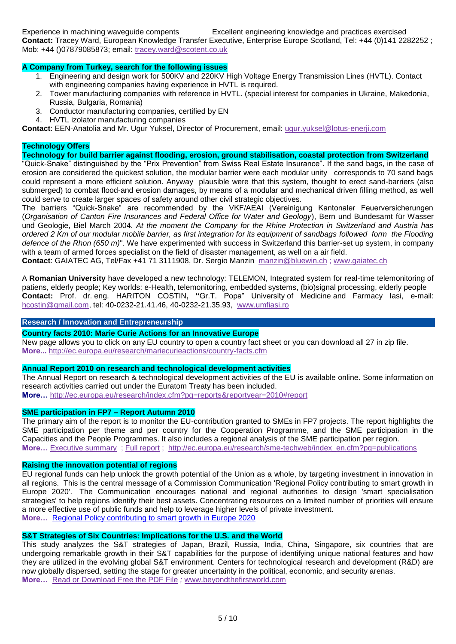Experience in machining waveguide compents Excellent engineering knowledge and practices exercised

**Contact:** Tracey Ward, European Knowledge Transfer Executive, Enterprise Europe Scotland, Tel: +44 (0)141 2282252 ; Mob: +44 ()07879085873; email: [tracey.ward@scotent.co.uk](mailto:tracey.ward@scotent.co.uk)

# **A Company from Turkey, search for the following issues**

- 1. Engineering and design work for 500KV and 220KV High Voltage Energy Transmission Lines (HVTL). Contact with engineering companies having experience in HVTL is required.
- 2. Tower manufacturing companies with reference in HVTL. (special interest for companies in Ukraine, Makedonia, Russia, Bulgaria, Romania)
- 3. Conductor manufacturing companies, certified by EN
- 4. HVTL izolator manufacturing companies

**Contact**: EEN-Anatolia and Mr. Ugur Yuksel, Director of Procurement, email: [ugur.yuksel@lotus-enerji.com](mailto:ugur.yuksel@lotus-enerji.com)

## **Technology Offers**

## **Technology for build barrier against flooding, erosion, ground stabilisation, coastal protection from Switzerland**

"Quick-Snake" distinguished by the "Prix Prevention" from Swiss Real Estate Insurance". If the sand bags, in the case of erosion are considered the quickest solution, the modular barrier were each modular unity corresponds to 70 sand bags could represent a more efficient solution. Anyway plausible were that this system, thought to erect sand-barriers (also submerged) to combat flood-and erosion damages, by means of a modular and mechanical driven filling method, as well could serve to create larger spaces of safety around other civil strategic objectives.

The barriers "Quick-Snake" are recommended by the VKF/AEAI (Vereinigung Kantonaler Feuerversicherungen (*Organisation of Canton Fire Insurances and Federal Office for Water and Geology*), Bern und Bundesamt für Wasser und Geologie, Biel March 2004. *At the moment the Company for the Rhine Protection in Switzerland and Austria has ordered 2 Km of our modular mobile barrier, as first integration for its equipment of sandbags followed form the Flooding defence of the Rhon (650 m)*". We have experimented with success in Switzerland this barrier-set up system, in company with a team of armed forces specialist on the field of disaster management, as well on a air field.

**Contact**: GAIATEC AG, Tel/Fax +41 71 3111908, Dr. Sergio Manzin [manzin@bluewin.ch](mailto:manzin@bluewin.ch) ; [www.gaiatec.ch](http://www.gaiatec.ch/)

A **Romanian University** have developed a new technology: TELEMON, Integrated system for real-time telemonitoring of patiens, elderly people; Key worlds: e-Health, telemonitoring, embedded systems, (bio)signal processing, elderly people **Contact:** Prof. dr. eng. HARITON COSTIN**, "**Gr.T. Popa" University of Medicine and Farmacy Iasi, e-mail: [hcostin@gmail.com,](mailto:hcostin@gmail.com) tel: 40-0232-21.41.46, 40-0232-21.35.93, [www.umfiasi.ro](http://www.umfiasi.ro/)

## **Research / [Innovation and Entrepreneurship](http://www.linkedin.com/newsArticle?viewDiscussion=&articleID=161206652&gid=49176&type=member&item=25948325&goback=%2Egde_49176_member_25948325)**

## **[Country facts 2010: Marie Curie Actions for an Innovative Europe](http://ec.europa.eu/research/mariecurieactions/country-facts.cfm)**

New page allows you to click on any EU country to open a country fact sheet or you can download all 27 in zip file. **More...** <http://ec.europa.eu/research/mariecurieactions/country-facts.cfm>

## **[Annual Report 2010](http://ec.europa.eu/research/index.cfm?pg=reports&reportyear=2010#report) on research and technological development activities**

The Annual Report on research & technological development activities of the EU is available online. Some information on research activities carried out under the Euratom Treaty has been included. **More…** <http://ec.europa.eu/research/index.cfm?pg=reports&reportyear=2010#report>

#### **[SME participation in FP7 –](http://ec.europa.eu/research/sme-techweb/index_en.cfm?pg=publications) Report Autumn 2010**

The primary aim of the report is to monitor the EU-contribution granted to SMEs in FP7 projects. The report highlights the SME participation per theme and per country for the Cooperation Programme, and the SME participation in the Capacities and the People Programmes. It also includes a regional analysis of the SME participation per region. **More…** [Executive summary](http://ec.europa.eu/research/sme-techweb/pdf/smes-in-fp7-autumn-2010-exec-summ_en.pdf#view=fit&pagemode=none) ; [Full report](http://ec.europa.eu/research/sme-techweb/pdf/smes-in-fp7-autumn-2010-full-report_en.pdf#view=fit&pagemode=none) ; [http://ec.europa.eu/research/sme-techweb/index\\_en.cfm?pg=publications](http://ec.europa.eu/research/sme-techweb/index_en.cfm?pg=publications)

## **Raising the innovation potential of regions**

EU regional funds can help unlock the growth potential of the Union as a whole, by targeting investment in innovation in all regions. This is the central message of a Commission Communication 'Regional Policy contributing to smart growth in Europe 2020'. The Communication encourages national and regional authorities to design 'smart specialisation strategies' to help regions identify their best assets. Concentrating resources on a limited number of priorities will ensure a more effective use of public funds and help to leverage higher levels of private investment. **More…** [Regional Policy contributing to smart growth in Europe 2020](../sources/docoffic/official/communic/comm_en.htm)

## **[S&T Strategies of Six Countries: Implications for the U.S. and the World](http://www.linkedin.com/news?viewArticle=&articleID=310748798&gid=2766994&type=member&item=38856483&articleURL=http%3A%2F%2Fwww%2Ebeyondthefirstworld%2Ecom%2F%3Fp%3D14809&urlhash=SMK2&goback=%2Egde_2766994_member_38856483)**

This study analyzes the S&T strategies of Japan, Brazil, Russia, India, China, Singapore, six countries that are undergoing remarkable growth in their S&T capabilities for the purpose of identifying unique national features and how they are utilized in the evolving global S&T environment. Centers for technological research and development (R&D) are now globally dispersed, setting the stage for greater uncertainty in the political, economic, and security arenas. **More…** [Read or Download Free the PDF File](http://www.nap.edu/catalog.php?record_id=12920) *;* [www.beyondthefirstworld.com](http://www.beyondthefirstworld.com/)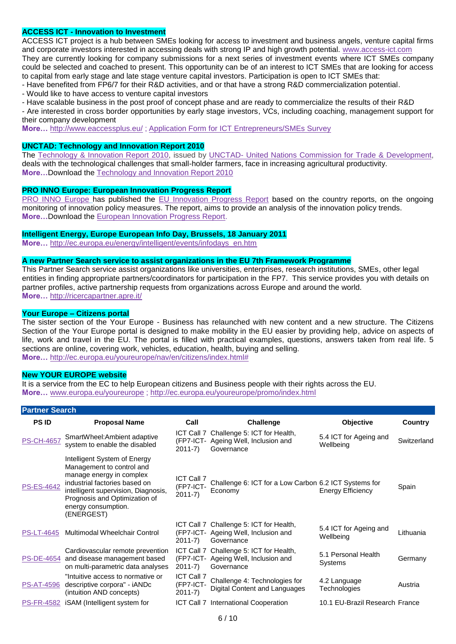## **ACCESS ICT - Innovation to Investment**

ACCESS ICT project is a hub between SMEs looking for access to investment and business angels, venture capital firms and corporate investors interested in accessing deals with strong IP and high growth potential. [www.access-ict.com](http://www.access-ict.com/) They are currently looking for company submissions for a next series of investment events where ICT SMEs company could be selected and coached to present. This opportunity can be of an interest to ICT SMEs that are looking for access to capital from early stage and late stage venture capital investors. Participation is open to ICT SMEs that:

- Have benefited from FP6/7 for their R&D activities, and or that have a strong R&D commercialization potential.

- Would like to have access to venture capital investors

- Have scalable business in the post proof of concept phase and are ready to commercialize the results of their R&D

- Are interested in cross border opportunities by early stage investors, VCs, including coaching, management support for their company development

**More…** <http://www.eaccessplus.eu/> ; [Application Form for ICT Entrepreneurs/SMEs Survey](http://www.linkedin.com/news?viewArticle=&articleID=225705807&gid=2766994&type=member&item=32340198&articleURL=http%3A%2F%2Fwww%2Esurveymonkey%2Ecom%2Fs%2Faccess-ict-sme-application-form&urlhash=Demg&goback=%2Egde_2766994_member_32340198) 

#### **UNCTAD: Technology and Innovation Report 2010**

The Technology & [Innovation Report 2010,](http://www.unctad.org/en/docs/tir2009_en.pdf) issued by UNCTAD- [United Nations Commission for Trade & Development,](http://www.unctad.org/Templates/StartPage.asp?intItemID=2068) deals with the technological challenges that small-holder farmers, face in increasing agricultural productivity. **More…**Download the [Technology and Innovation Report 2010](http://www.unctad.org/en/docs/tir2009_en.pdf)

## **PRO INNO Europe: European Innovation Progress Report**

[PRO INNO Europe](http://www.proinno-europe.eu/) has published the [EU Innovation Progress Report](http://www.proinno-europe.eu/sites/default/files/page/10/05/EIPR2009%20final.pdf) based on the country reports, on the ongoing monitoring of innovation policy measures. The report, aims to provide an analysis of the innovation policy trends. **More…**Download the [European Innovation Progress Report.](http://www.proinno-europe.eu/sites/default/files/page/10/05/EIPR2009%20final.pdf)

#### **Intelligent Energy, Europe European Info Day, Brussels, 18 January 2011**

**More…** [http://ec.europa.eu/energy/intelligent/events/infodays\\_en.htm](http://ec.europa.eu/energy/intelligent/events/infodays_en.htm)

#### **A new Partner Search service to assist organizations in the EU 7th Framework Programme**

This Partner Search service assist organizations like universities, enterprises, research institutions, SMEs, other legal entities in finding appropriate partners/coordinators for participation in the FP7. This service provides you with details on partner profiles, active partnership requests from organizations across Europe and around the world. **More…** <http://ricercapartner.apre.it/>

### **Your Europe – Citizens portal**

The sister section of the Your Europe - Business has relaunched with new content and a new structure. The Citizens Section of the Your Europe portal is designed to make mobility in the EU easier by providing help, advice on aspects of life, work and travel in the EU. The portal is filled with practical examples, questions, answers taken from real life. 5 sections are online, covering work, vehicles, education, health, buying and selling. **More…** [http://ec.europa.eu/youreurope/nav/en/citizens/index.html#](http://ec.europa.eu/youreurope/nav/en/citizens/index.html)

#### **New YOUR EUROPE website**

It is a service from the EC to help European citizens and Business people with their rights across the EU. **More…** www.europa.eu/youreurope ;<http://ec.europa.eu/youreurope/promo/index.html>

| <b>Partner Search</b> |                                                                                                                                                                                                                                     |                                              |                                                                                               |                                     |             |  |
|-----------------------|-------------------------------------------------------------------------------------------------------------------------------------------------------------------------------------------------------------------------------------|----------------------------------------------|-----------------------------------------------------------------------------------------------|-------------------------------------|-------------|--|
| <b>PS ID</b>          | <b>Proposal Name</b>                                                                                                                                                                                                                | Call                                         | Challenge                                                                                     | <b>Objective</b>                    | Country     |  |
| <b>PS-CH-4657</b>     | SmartWheel:Ambient adaptive<br>system to enable the disabled                                                                                                                                                                        | (FP7-ICT-<br>$2011 - 7$                      | ICT Call 7 Challenge 5: ICT for Health,<br>Ageing Well, Inclusion and<br>Governance           | 5.4 ICT for Ageing and<br>Wellbeing | Switzerland |  |
| <b>PS-ES-4642</b>     | Intelligent System of Energy<br>Management to control and<br>manage energy in complex<br>industrial factories based on<br>intelligent supervision, Diagnosis,<br>Prognosis and Optimization of<br>energy consumption.<br>(ENERGEST) | <b>ICT Call 7</b><br>(FP7-ICT-<br>$2011 - 7$ | Challenge 6: ICT for a Low Carbon 6.2 ICT Systems for<br>Economy                              | <b>Energy Efficiency</b>            | Spain       |  |
| <b>PS-LT-4645</b>     | Multimodal Wheelchair Control                                                                                                                                                                                                       | $2011 - 7$                                   | ICT Call 7 Challenge 5: ICT for Health,<br>(FP7-ICT- Ageing Well, Inclusion and<br>Governance | 5.4 ICT for Ageing and<br>Wellbeing | Lithuania   |  |
|                       | Cardiovascular remote prevention<br>PS-DE-4654 and disease management based<br>on multi-parametric data analyses                                                                                                                    | $2011-7)$                                    | ICT Call 7 Challenge 5: ICT for Health,<br>(FP7-ICT- Ageing Well, Inclusion and<br>Governance | 5.1 Personal Health<br>Systems      | Germany     |  |
| <b>PS-AT-4596</b>     | "Intuitive access to normative or<br>descriptive corpora" - iANDc<br>(intuition AND concepts)                                                                                                                                       | ICT Call 7<br>(FP7-ICT-<br>$2011 - 7$        | Challenge 4: Technologies for<br>Digital Content and Languages                                | 4.2 Language<br>Technologies        | Austria     |  |
|                       | PS-FR-4582 iSAM (Intelligent system for                                                                                                                                                                                             |                                              | ICT Call 7 International Cooperation                                                          | 10.1 EU-Brazil Research France      |             |  |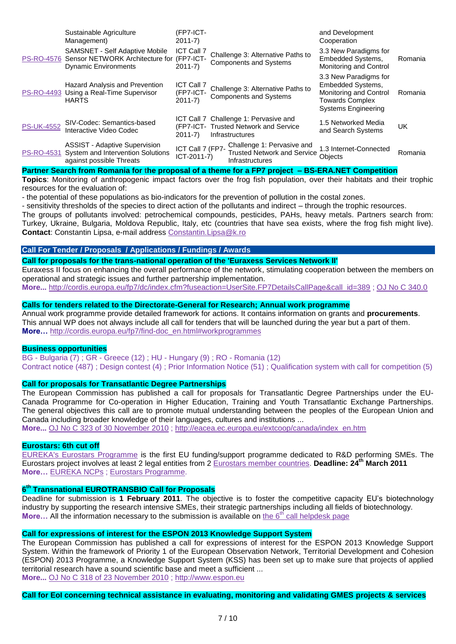|                   | Sustainable Agriculture<br>Management)                                                                             | (FP7-ICT-<br>$2011 - 7$                      |                                                                                                          | and Development<br>Cooperation                                                                                        |         |
|-------------------|--------------------------------------------------------------------------------------------------------------------|----------------------------------------------|----------------------------------------------------------------------------------------------------------|-----------------------------------------------------------------------------------------------------------------------|---------|
|                   | <b>SAMSNET - Self Adaptive Mobile</b><br>PS-RO-4576 Sensor NETWORK Architecture for<br><b>Dynamic Environments</b> | <b>ICT Call 7</b><br>(FP7-ICT-<br>$2011-7$   | Challenge 3: Alternative Paths to<br><b>Components and Systems</b>                                       | 3.3 New Paradigms for<br>Embedded Systems,<br>Monitoring and Control                                                  | Romania |
| <b>PS-RO-4493</b> | Hazard Analysis and Prevention<br>Using a Real-Time Supervisor<br><b>HARTS</b>                                     | <b>ICT Call 7</b><br>(FP7-ICT-<br>$2011 - 7$ | Challenge 3: Alternative Paths to<br><b>Components and Systems</b>                                       | 3.3 New Paradigms for<br>Embedded Systems,<br>Monitoring and Control<br><b>Towards Complex</b><br>Systems Engineering | Romania |
| <b>PS-UK-4552</b> | SIV-Codec: Semantics-based<br>Interactive Video Codec                                                              | $2011 - 7$                                   | ICT Call 7 Challenge 1: Pervasive and<br>(FP7-ICT- Trusted Network and Service<br><b>Infrastructures</b> | 1.5 Networked Media<br>and Search Systems                                                                             | UK      |
| <b>PS-RO-4531</b> | <b>ASSIST - Adaptive Supervision</b><br>System and Intervention Solutions<br>against possible Threats              | ICT Call 7 (FP7-<br>ICT-2011-7)              | Challenge 1: Pervasive and<br><b>Trusted Network and Service</b><br><b>Infrastructures</b>               | 1.3 Internet-Connected<br><b>Objects</b>                                                                              | Romania |

#### **Partner Search from Romania for the proposal of a theme for a FP7 project – BS-ERA.NET Competition**

**Topics**: Monitoring of anthropogenic impact factors over the frog fish population, over their habitats and their trophic resources for the evaluation of:

- the potential of these populations as bio-indicators for the prevention of pollution in the costal zones.

- sensitivity thresholds of the species to direct action of the pollutants and indirect – through the trophic resources.

The groups of pollutants involved: petrochemical compounds, pesticides, PAHs, heavy metals. Partners search from: Turkey, Ukraine, Bulgaria, Moldova Republic, Italy, etc (countries that have sea exists, where the frog fish might live). **Contact**: Constantin Lipsa, e-mail address [Constantin.Lipsa@k.ro](mailto:Constantin.Lipsa@k.ro)

# **Call For Tender / Proposals / Applications / Fundings / Award[s](http://www.alumni.ox.ac.uk/news_and_events/news/new_oxford_fund_to.html)**

**[Call for proposals for the trans-national operation of the 'Euraxess Services Network II'](http://www.alumni.ox.ac.uk/news_and_events/news/new_oxford_fund_to.html)**

Euraxess II focus on enhancing the overall performance of the network, stimulating cooperation between the members on operational and strategic issues and further partnership implementation.

**More...** [http://cordis.europa.eu/fp7/dc/index.cfm?fuseaction=UserSite.FP7DetailsCallPage&call\\_id=389](http://cordis.europa.eu/fp7/dc/index.cfm?fuseaction=UserSite.FP7DetailsCallPage&call_id=389) ; [OJ No C 340.0](http://eur-lex.europa.eu/LexUriServ/LexUriServ.do?uri=OJ:C:2010:340:0020:0020:EN:PDF)

#### **Calls for tenders related to the Directorate-General for Research; Annual work programme**

Annual work programme provide detailed framework for actions. It contains information on grants and **procurements**. This annual WP does not always include all call for tenders that will be launched during the year but a part of them. **More…** [http://cordis.europa.eu/fp7/find-doc\\_en.html#workprogrammes](http://cordis.europa.eu/fp7/find-doc_en.html#workprogrammes)

### **Business opportunities**

BG - [Bulgaria \(7\)](javascript:;) ; GR - [Greece \(12\) ;](javascript:;) HU - [Hungary \(9\) ;](javascript:;) RO - [Romania \(12\)](javascript:;)  [Contract notice \(487\) ;](javascript:$do() [Design contest \(4\) ;](javascript:$do() [Prior Information Notice \(51\) ;](javascript:$do() [Qualification system with call for competition \(5\)](javascript:$do() 

## **[Call for proposals for Transatlantic Degree Partnerships](http://cordis.europa.eu/fetch?CALLER=EN_CALLS_NEWS&ACTION=D&DOC=2&CAT=NEWS&QUERY=012d323ee828:f83b:5ff467e4&RCN=32825)**

The European Commission has published a call for proposals for Transatlantic Degree Partnerships under the EU-Canada Programme for Co-operation in Higher Education, Training and Youth Transatlantic Exchange Partnerships. The general objectives this call are to promote mutual understanding between the peoples of the European Union and Canada including broader knowledge of their languages, cultures and institutions ...

**More...** [OJ No C 323 of 30 November 2010](http://eur-lex.europa.eu/LexUriServ/LexUriServ.do?uri=OJ:C:2010:323:0020:0022:EN:PDF) ; [http://eacea.ec.europa.eu/extcoop/canada/index\\_en.htm](http://eacea.ec.europa.eu/extcoop/canada/index_en.htm) 

#### **Eurostars: 6th cut off**

[EUREKA's Eurostars Programme](http://www.eurostars-eureka.eu/) is the first EU funding/support programme dedicated to R&D performing SMEs. The Eurostars project involves at least 2 legal entities from 2 [Eurostars member countries.](http://www.eurostars-eureka.eu/where.do) **Deadline: 24th March 2011 More…** [EUREKA NCPs](http://www.eurostars-eureka.eu/where.do) ; [Eurostars Programme.](http://www.eurostars-eureka.eu/)

## **6 th Transnational EUROTRANSBIO Call for Proposals**

Deadline for submission is **1 February 2011**. The objective is to foster the competitive capacity EU"s biotechnology industry by supporting the research intensive SMEs, their strategic partnerships including all fields of biotechnology. **More…** All the information necessary to the submission is available on the 6<sup>th</sup> [call helpdesk page](http://www.eurotransbio.eu/index.php?index=8)

# **[Call for expressions of interest for the ESPON 2013 Knowledge Support System](http://cordis.europa.eu/fetch?CALLER=EN_CALLS_NEWS&ACTION=D&DOC=3&CAT=NEWS&QUERY=012d323ee828:f83b:5ff467e4&RCN=32809)**

The European Commission has published a call for expressions of interest for the ESPON 2013 Knowledge Support System. Within the framework of Priority 1 of the European Observation Network, Territorial Development and Cohesion (ESPON) 2013 Programme, a Knowledge Support System (KSS) has been set up to make sure that projects of applied territorial research have a sound scientific base and meet a sufficient ... **More...** [OJ No C 318 of 23 November 2010](http://eur-lex.europa.eu/LexUriServ/LexUriServ.do?uri=OJ:C:2010:318:0008:0008:EN:PDF) ; [http://www.espon.eu](http://www.espon.eu/)

**Call for EoI concerning technical assistance in evaluating, monitoring and validating GMES projects & services**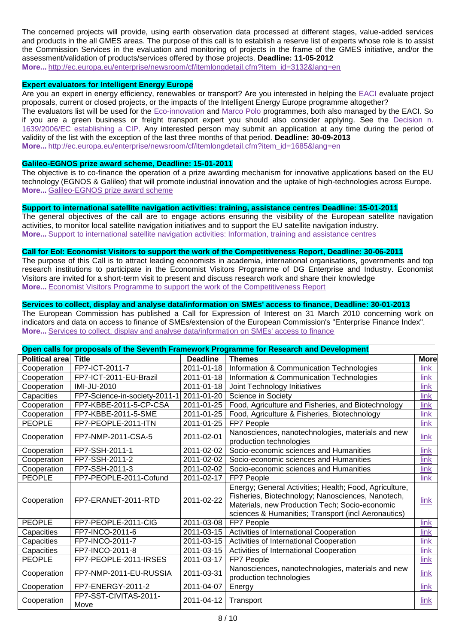The concerned projects will provide, using earth observation data processed at different stages, value-added services and products in the all GMES areas. The purpose of this call is to establish a reserve list of experts whose role is to assist the Commission Services in the evaluation and monitoring of projects in the frame of the GMES initiative, and/or the assessment/validation of products/services offered by those projects. **Deadline: 11-05-2012 More...** http://ec.europa.eu/enterprise/newsroom/cf/itemlongdetail.cfm?item\_id=3132&lang=en

#### **Expert evaluators for Intelligent Energy Europe**

Are you an expert in energy efficiency, renewables or transport? Are you interested in helping the [EACI](http://ec.europa.eu/eaci) evaluate project proposals, current or closed projects, or the impacts of the Intelligent Energy Europe programme altogether?

The evaluators list will be used for the [Eco-innovation](http://ec.europa.eu/eaci/eco_en.htm) and [Marco Polo](http://ec.europa.eu/eaci/mp_en.htm) programmes, both also managed by the EACI. So if you are a green business or freight transport expert you should also consider applying. See the [Decision n.](http://eur-lex.europa.eu/LexUriServ/site/en/oj/2006/l_310/l_31020061109en00150040.pdf)  [1639/2006/EC establishing a CIP.](http://eur-lex.europa.eu/LexUriServ/site/en/oj/2006/l_310/l_31020061109en00150040.pdf) Any interested person may submit an application at any time during the period of validity of the list with the exception of the last three months of that period. **Deadline: 30-09-2013 More...** [http://ec.europa.eu/enterprise/newsroom/cf/itemlongdetail.cfm?item\\_id=1685&lang=en](http://ec.europa.eu/enterprise/newsroom/cf/itemlongdetail.cfm?item_id=1685&lang=en)

**[Galileo-EGNOS prize award scheme,](http://ec.europa.eu/enterprise/newsroom/cf/itemlongdetail.cfm?item_id=4653&lang=en&tpa=0&displayType=fo&ref=newsbytheme%2Ecfm%3Flang%3Den%26displayType%3Dfo%26fosubtype%3Dp%26tpa%3D0%26period%3Dlatest%26month%3D%26page%3D1) Deadline: 15-01-2011**

The objective is to co-finance the operation of a prize awarding mechanism for innovative applications based on the EU technology (EGNOS & Galileo) that will promote industrial innovation and the uptake of high-technologies across Europe. **More...** [Galileo-EGNOS prize award scheme](http://ec.europa.eu/enterprise/newsroom/cf/itemlongdetail.cfm?item_id=4653&lang=en&tpa=0&displayType=fo&ref=newsbytheme%2Ecfm%3Flang%3Den%26displayType%3Dfo%26fosubtype%3Dp%26tpa%3D0%26period%3Dlatest%26month%3D%26page%3D1)

### **[Support to international satellite navigation activities: training, assistance centres](http://ec.europa.eu/enterprise/newsroom/cf/itemlongdetail.cfm?item_id=4654&lang=en&tpa=0&displayType=fo&ref=newsbytheme%2Ecfm%3Flang%3Den%26displayType%3Dfo%26fosubtype%3Dp%26tpa%3D0%26period%3Dlatest%26month%3D%26page%3D1) Deadline: 15-01-2011**

The general objectives of the call are to engage actions ensuring the visibility of the European satellite navigation activities, to monitor local satellite navigation initiatives and to support the EU satellite navigation industry. **More...** [Support to international satellite navigation activities: Information, training and assistance centres](http://ec.europa.eu/enterprise/newsroom/cf/itemlongdetail.cfm?item_id=4654&lang=en&tpa=0&displayType=fo&ref=newsbytheme%2Ecfm%3Flang%3Den%26displayType%3Dfo%26fosubtype%3Dp%26tpa%3D0%26period%3Dlatest%26month%3D%26page%3D1)

## **Call for EoI: [Economist Visitors to support the work of the Competitiveness Report,](http://ec.europa.eu/enterprise/newsroom/cf/itemlongdetail.cfm?item_id=1639&lang=en&tpa=0&displayType=fo&ref=newsbytheme%2Ecfm%3Flang%3Den%26displayType%3Dfo%26fosubtype%3Di%26tpa%3D0%26period%3Dlatest%26month%3D%26page%3D1) Deadline: 30-06-2011**

The purpose of this Call is to attract leading economists in academia, international organisations, governments and top research institutions to participate in the Economist Visitors Programme of DG Enterprise and Industry. Economist Visitors are invited for a short-term visit to present and discuss research work and share their knowledge **More...** [Economist Visitors Programme to support the work of the Competitiveness Report](http://ec.europa.eu/enterprise/newsroom/cf/itemlongdetail.cfm?item_id=1639&lang=en&tpa=0&displayType=fo&ref=newsbytheme%2Ecfm%3Flang%3Den%26displayType%3Dfo%26fosubtype%3Di%26tpa%3D0%26period%3Dlatest%26month%3D%26page%3D1)

## **[Services to collect, display and analyse data/information on SMEs' access to finance,](http://ec.europa.eu/enterprise/newsroom/cf/itemlongdetail.cfm?item_id=4184&lang=en&tpa=0&displayType=fo&ref=newsbytheme%2Ecfm%3Flang%3Den%26displayType%3Dfo%26fosubtype%3Di%26tpa%3D0%26period%3Dlatest%26month%3D%26page%3D1) Deadline: 30-01-2013**

The European Commission has published a Call for Expression of Interest on 31 March 2010 concerning work on indicators and data on access to finance of SMEs/extension of the European Commission's "Enterprise Finance Index". **More...** [Services to collect, display and analyse data/information on SMEs' access to finance](http://ec.europa.eu/enterprise/newsroom/cf/itemlongdetail.cfm?item_id=4184&lang=en&tpa=0&displayType=fo&ref=newsbytheme%2Ecfm%3Flang%3Den%26displayType%3Dfo%26fosubtype%3Di%26tpa%3D0%26period%3Dlatest%26month%3D%26page%3D1)

|           |  | Open calls for proposals of the Seventh Framework Programme for Research and Development |  |
|-----------|--|------------------------------------------------------------------------------------------|--|
| _________ |  |                                                                                          |  |

| <b>Political area</b> | <b>Title</b>                  | <b>Deadline</b> | <b>Themes</b>                                                                                                                                                                                                        | <b>More</b> |
|-----------------------|-------------------------------|-----------------|----------------------------------------------------------------------------------------------------------------------------------------------------------------------------------------------------------------------|-------------|
| Cooperation           | FP7-ICT-2011-7                | 2011-01-18      | Information & Communication Technologies                                                                                                                                                                             | link        |
| Cooperation           | FP7-ICT-2011-EU-Brazil        | 2011-01-18      | Information & Communication Technologies                                                                                                                                                                             | link        |
| Cooperation           | <b>IMI-JU-2010</b>            | 2011-01-18      | Joint Technology Initiatives                                                                                                                                                                                         | link        |
| Capacities            | FP7-Science-in-society-2011-1 | 2011-01-20      | Science in Society                                                                                                                                                                                                   | link        |
| Cooperation           | FP7-KBBE-2011-5-CP-CSA        | 2011-01-25      | Food, Agriculture and Fisheries, and Biotechnology                                                                                                                                                                   | link        |
| Cooperation           | FP7-KBBE-2011-5-SME           | 2011-01-25      | Food, Agriculture & Fisheries, Biotechnology                                                                                                                                                                         | link        |
| <b>PEOPLE</b>         | FP7-PEOPLE-2011-ITN           | 2011-01-25      | FP7 People                                                                                                                                                                                                           | link        |
| Cooperation           | FP7-NMP-2011-CSA-5            | 2011-02-01      | Nanosciences, nanotechnologies, materials and new                                                                                                                                                                    | link        |
|                       |                               |                 | production technologies                                                                                                                                                                                              |             |
| Cooperation           | FP7-SSH-2011-1                | 2011-02-02      | Socio-economic sciences and Humanities                                                                                                                                                                               | link        |
| Cooperation           | FP7-SSH-2011-2                | 2011-02-02      | Socio-economic sciences and Humanities                                                                                                                                                                               | link        |
| Cooperation           | FP7-SSH-2011-3                | 2011-02-02      | Socio-economic sciences and Humanities                                                                                                                                                                               | link        |
| <b>PEOPLE</b>         | FP7-PEOPLE-2011-Cofund        | 2011-02-17      | FP7 People                                                                                                                                                                                                           | link        |
| Cooperation           | FP7-ERANET-2011-RTD           | 2011-02-22      | Energy; General Activities; Health; Food, Agriculture,<br>Fisheries, Biotechnology; Nanosciences, Nanotech,<br>Materials, new Production Tech; Socio-economic<br>sciences & Humanities; Transport (incl Aeronautics) | link        |
| <b>PEOPLE</b>         | FP7-PEOPLE-2011-CIG           | 2011-03-08      | FP7 People                                                                                                                                                                                                           | link        |
| Capacities            | FP7-INCO-2011-6               | 2011-03-15      | Activities of International Cooperation                                                                                                                                                                              | link        |
| Capacities            | FP7-INCO-2011-7               | 2011-03-15      | Activities of International Cooperation                                                                                                                                                                              | link        |
| Capacities            | FP7-INCO-2011-8               | 2011-03-15      | Activities of International Cooperation                                                                                                                                                                              | link        |
| <b>PEOPLE</b>         | FP7-PEOPLE-2011-IRSES         | 2011-03-17      | FP7 People                                                                                                                                                                                                           | link        |
| Cooperation           | FP7-NMP-2011-EU-RUSSIA        | 2011-03-31      | Nanosciences, nanotechnologies, materials and new<br>production technologies                                                                                                                                         | link        |
| Cooperation           | FP7-ENERGY-2011-2             | 2011-04-07      | Energy                                                                                                                                                                                                               | link        |
| Cooperation           | FP7-SST-CIVITAS-2011-<br>Move | 2011-04-12      | Transport                                                                                                                                                                                                            | link        |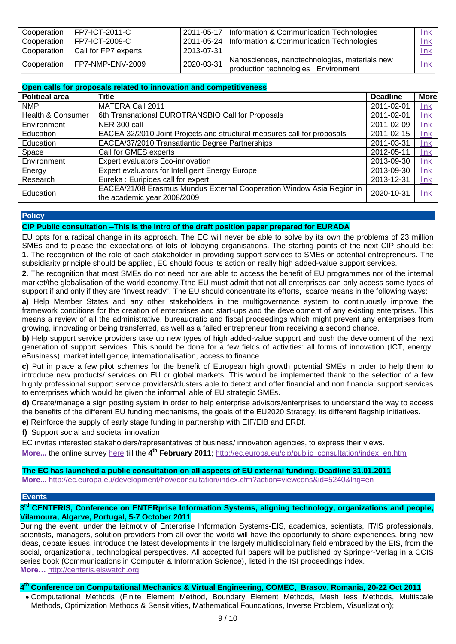| Cooperation | FP7-ICT-2011-C         | 2011-05-17 | Information & Communication Technologies                                             | <u>link</u> |
|-------------|------------------------|------------|--------------------------------------------------------------------------------------|-------------|
| Cooperation | FP7-ICT-2009-C         |            | 2011-05-24   Information & Communication Technologies                                | link        |
| Cooperation | l Call for FP7 experts | 2013-07-31 |                                                                                      | link        |
| Cooperation | FP7-NMP-ENV-2009       | 2020-03-31 | Nanosciences, nanotechnologies, materials new<br>production technologies Environment | <u>link</u> |

|  | Open calls for proposals related to innovation and competitiveness |  |
|--|--------------------------------------------------------------------|--|
|  |                                                                    |  |

| <b>Political area</b> | <b>Title</b>                                                                                         | <b>Deadline</b> | <b>More</b> |
|-----------------------|------------------------------------------------------------------------------------------------------|-----------------|-------------|
| <b>NMP</b>            | <b>MATERA Call 2011</b>                                                                              | 2011-02-01      | <u>link</u> |
| Health & Consumer     | 6th Transnational EUROTRANSBIO Call for Proposals                                                    | 2011-02-01      | link        |
| Environment           | NER 300 call                                                                                         | 2011-02-09      | link        |
| Education             | EACEA 32/2010 Joint Projects and structural measures call for proposals                              | 2011-02-15      | link        |
| Education             | EACEA/37/2010 Transatlantic Degree Partnerships                                                      | 2011-03-31      | link        |
| Space                 | Call for GMES experts                                                                                | 2012-05-11      | link        |
| Environment           | Expert evaluators Eco-innovation                                                                     | 2013-09-30      | <u>link</u> |
| Energy                | <b>Expert evaluators for Intelligent Energy Europe</b>                                               | 2013-09-30      | <b>link</b> |
| Research              | Eureka: Euripides call for expert                                                                    | 2013-12-31      | $link$      |
| Education             | EACEA/21/08 Erasmus Mundus External Cooperation Window Asia Region in<br>the academic year 2008/2009 | 2020-10-31      | <u>link</u> |

## **Policy**

**CIP Public consultation –This is the intro of the draft position paper prepared for EURADA**

EU opts for a radical change in its approach. The EC will never be able to solve by its own the problems of 23 million SMEs and to please the expectations of lots of lobbying organisations. The starting points of the next CIP should be: **1.** The recognition of the role of each stakeholder in providing support services to SMEs or potential entrepreneurs. The subsidiarity principle should be applied, EC should focus its action on really high added-value support services.

**2.** The recognition that most SMEs do not need nor are able to access the benefit of EU programmes nor of the internal market/the globalisation of the world economy.Tthe EU must admit that not all enterprises can only access some types of support if and only if they are "invest ready". The EU should concentrate its efforts, scarce means in the following ways:

**a)** Help Member States and any other stakeholders in the multigovernance system to continuously improve the framework conditions for the creation of enterprises and start-ups and the development of any existing enterprises. This means a review of all the administrative, bureaucratic and fiscal proceedings which might prevent any enterprises from growing, innovating or being transferred, as well as a failed entrepreneur from receiving a second chance.

**b)** Help support service providers take up new types of high added-value support and push the development of the next generation of support services. This should be done for a few fields of activities: all forms of innovation (ICT, energy, eBusiness), market intelligence, internationalisation, access to finance.

**c)** Put in place a few pilot schemes for the benefit of European high growth potential SMEs in order to help them to introduce new products/ services on EU or global markets. This would be implemented thank to the selection of a few highly professional support service providers/clusters able to detect and offer financial and non financial support services to enterprises which would be given the informal lable of EU strategic SMEs.

**d)** Create/manage a sign posting system in order to help enterprise advisors/enterprises to understand the way to access the benefits of the different EU funding mechanisms, the goals of the EU2020 Strategy, its different flagship initiatives.

**e)** Reinforce the supply of early stage funding in partnership with EIF/EIB and ERDf.

**f)** Support social and societal innovation

EC invites interested stakeholders/representatives of business/ innovation agencies, to express their views.

More... the online survey [here](http://ec.europa.eu/yourvoice/ipm/forms/dispatch?form=CIP0713) till the 4<sup>th</sup> February 2011; [http://ec.europa.eu/cip/public\\_consultation/index\\_en.htm](http://ec.europa.eu/cip/public_consultation/index_en.htm)

## **The EC has launched a public consultation on all aspects of EU external funding. Deadline 31.01.2011**

**More...** <http://ec.europa.eu/development/how/consultation/index.cfm?action=viewcons&id=5240&lng=en>

## **Events**

## **3 rd CENTERIS, Conference on ENTERprise Information Systems, aligning technology, organizations and people, Vilamoura, Algarve, Portugal, 5-7 October 2011**

During the event, under the leitmotiv of Enterprise Information Systems-EIS, academics, scientists, IT/IS professionals, scientists, managers, solution providers from all over the world will have the opportunity to share experiences, bring new ideas, debate issues, introduce the latest developments in the largely multidisciplinary field embraced by the EIS, from the social, organizational, technological perspectives. All accepted full papers will be published by Springer-Verlag in a CCIS series book (Communications in Computer & Information Science), listed in the ISI proceedings index. **More…** [http://centeris.eiswatch.org](http://centeris.eiswatch.org/)

# **4 th Conference on Computational Mechanics & Virtual Engineering, COMEC, Brasov, Romania, 20-22 Oct 2011**

Computational Methods (Finite Element Method, Boundary Element Methods, Mesh less Methods, Multiscale Methods, Optimization Methods & Sensitivities, Mathematical Foundations, Inverse Problem, Visualization);